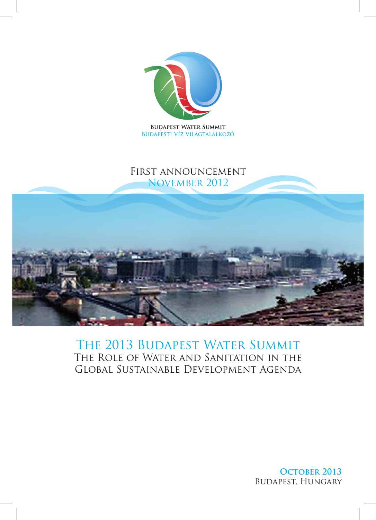

First announcement November 2012



#### THE 2013 BUDAPEST WATER SUMMIT The Role of Water and Sanitation in the Global Sustainable Development Agenda

**October 2013** Budapest, Hungary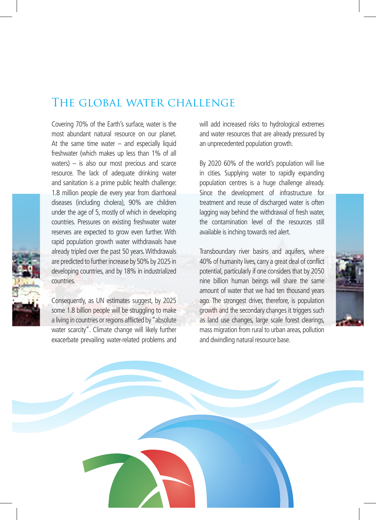#### The global water challenge



Covering 70% of the Earth's surface, water is the most abundant natural resource on our planet. At the same time water  $-$  and especially liquid freshwater (which makes up less than 1% of all waters) – is also our most precious and scarce resource. The lack of adequate drinking water and sanitation is a prime public health challenge: 1.8 million people die every year from diarrhoeal diseases (including cholera), 90% are children under the age of 5, mostly of which in developing countries. Pressures on existing freshwater water reserves are expected to grow even further. With rapid population growth water withdrawals have already tripled over the past 50 years. Withdrawals are predicted to further increase by 50% by 2025 in developing countries, and by 18% in industrialized countries.

Consequently, as UN estimates suggest, by 2025 some 1.8 billion people will be struggling to make a living in countries or regions afflicted by "absolute water scarcity". Climate change will likely further exacerbate prevailing water-related problems and will add increased risks to hydrological extremes and water resources that are already pressured by an unprecedented population growth.

By 2020 60% of the world's population will live in cities. Supplying water to rapidly expanding population centres is a huge challenge already. Since the development of infrastructure for treatment and reuse of discharged water is often lagging way behind the withdrawal of fresh water, the contamination level of the resources still available is inching towards red alert.

Transboundary river basins and aquifers, where 40% of humanity lives, carry a great deal of conflict potential, particularly if one considers that by 2050 nine billion human beings will share the same amount of water that we had ten thousand years ago. The strongest driver, therefore, is population growth and the secondary changes it triggers such as land use changes, large scale forest clearings, mass migration from rural to urban areas, pollution and dwindling natural resource base.



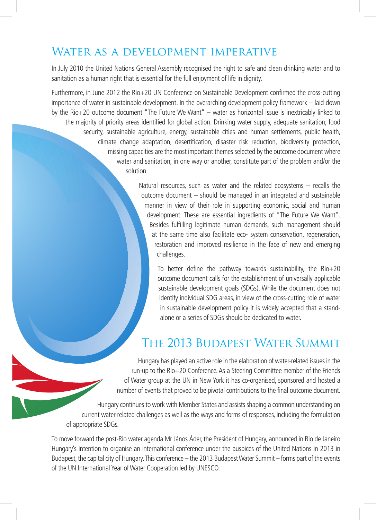## WATER AS A DEVELOPMENT IMPERATIVE

In July 2010 the United Nations General Assembly recognised the right to safe and clean drinking water and to sanitation as a human right that is essential for the full enjoyment of life in dignity.

Furthermore, in June 2012 the Rio+20 UN Conference on Sustainable Development confirmed the cross-cutting importance of water in sustainable development. In the overarching development policy framework – laid down by the Rio+20 outcome document "The Future We Want" – water as horizontal issue is inextricably linked to the majority of priority areas identified for global action. Drinking water supply, adequate sanitation, food security, sustainable agriculture, energy, sustainable cities and human settlements, public health, climate change adaptation, desertification, disaster risk reduction, biodiversity protection, missing capacities are the most important themes selected by the outcome document where water and sanitation, in one way or another, constitute part of the problem and/or the solution.

> Natural resources, such as water and the related ecosystems – recalls the outcome document – should be managed in an integrated and sustainable manner in view of their role in supporting economic, social and human development. These are essential ingredients of "The Future We Want". Besides fulfilling legitimate human demands, such management should at the same time also facilitate eco- system conservation, regeneration, restoration and improved resilience in the face of new and emerging challenges.

To better define the pathway towards sustainability, the Rio+20 outcome document calls for the establishment of universally applicable sustainable development goals (SDGs). While the document does not identify individual SDG areas, in view of the cross-cutting role of water in sustainable development policy it is widely accepted that a standalone or a series of SDGs should be dedicated to water.

## THE 2013 BUDAPEST WATER SUMMIT

Hungary has played an active role in the elaboration of water-related issues in the run-up to the Rio+20 Conference. As a Steering Committee member of the Friends of Water group at the UN in New York it has co-organised, sponsored and hosted a number of events that proved to be pivotal contributions to the final outcome document.

Hungary continues to work with Member States and assists shaping a common understanding on current water-related challenges as well as the ways and forms of responses, including the formulation of appropriate SDGs.

To move forward the post-Rio water agenda Mr János Áder, the President of Hungary, announced in Rio de Janeiro Hungary's intention to organise an international conference under the auspices of the United Nations in 2013 in Budapest, the capital city of Hungary. This conference – the 2013 Budapest Water Summit – forms part of the events of the UN International Year of Water Cooperation led by UNESCO.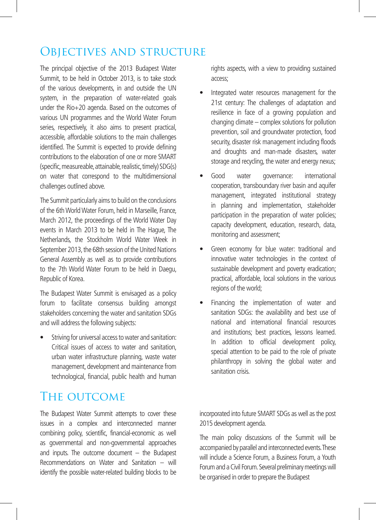### Objectives and structure

The principal objective of the 2013 Budapest Water Summit, to be held in October 2013, is to take stock of the various developments, in and outside the UN system, in the preparation of water-related goals under the Rio+20 agenda. Based on the outcomes of various UN programmes and the World Water Forum series, respectively, it also aims to present practical, accessible, affordable solutions to the main challenges identified. The Summit is expected to provide defining contributions to the elaboration of one or more SMART (specific, measureable, attainable, realistic, timely) SDG(s) on water that correspond to the multidimensional challenges outlined above.

The Summit particularly aims to build on the conclusions of the 6th World Water Forum, held in Marseille, France, March 2012, the proceedings of the World Water Day events in March 2013 to be held in The Hague, The Netherlands, the Stockholm World Water Week in September 2013, the 68th session of the United Nations General Assembly as well as to provide contributions to the 7th World Water Forum to be held in Daegu, Republic of Korea.

The Budapest Water Summit is envisaged as a policy forum to facilitate consensus building amongst stakeholders concerning the water and sanitation SDGs and will address the following subjects:

Striving for universal access to water and sanitation: Critical issues of access to water and sanitation, urban water infrastructure planning, waste water management, development and maintenance from technological, financial, public health and human

## The outcome

The Budapest Water Summit attempts to cover these issues in a complex and interconnected manner combining policy, scientific, financial-economic as well as governmental and non-governmental approaches and inputs. The outcome document – the Budapest Recommendations on Water and Sanitation – will identify the possible water-related building blocks to be rights aspects, with a view to providing sustained access;

- Integrated water resources management for the 21st century: The challenges of adaptation and resilience in face of a growing population and changing climate – complex solutions for pollution prevention, soil and groundwater protection, food security, disaster risk management including floods and droughts and man-made disasters, water storage and recycling, the water and energy nexus;
- Good water governance: international cooperation, transboundary river basin and aquifer management, integrated institutional strategy in planning and implementation, stakeholder participation in the preparation of water policies; capacity development, education, research, data, monitoring and assessment;
- Green economy for blue water: traditional and innovative water technologies in the context of sustainable development and poverty eradication; practical, affordable, local solutions in the various regions of the world;
- Financing the implementation of water and sanitation SDGs: the availability and best use of national and international financial resources and institutions; best practices, lessons learned. In addition to official development policy, special attention to be paid to the role of private philanthropy in solving the global water and sanitation crisis.

incorporated into future SMART SDGs as well as the post 2015 development agenda.

The main policy discussions of the Summit will be accompanied by parallel and interconnected events. These will include a Science Forum, a Business Forum, a Youth Forum and a Civil Forum. Several preliminary meetings will be organised in order to prepare the Budapest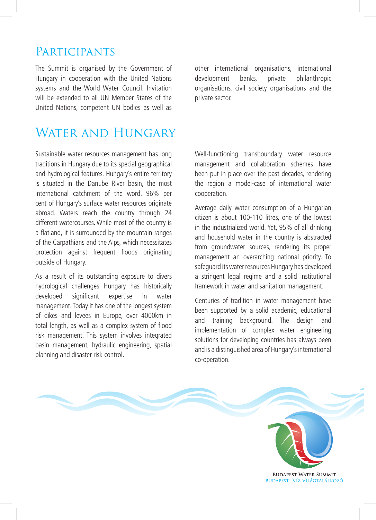#### **PARTICIPANTS**

The Summit is organised by the Government of Hungary in cooperation with the United Nations systems and the World Water Council. Invitation will be extended to all UN Member States of the United Nations, competent UN bodies as well as other international organisations, international development banks, private philanthropic organisations, civil society organisations and the private sector.

# WATER AND HUNGARY

Sustainable water resources management has long traditions in Hungary due to its special geographical and hydrological features. Hungary's entire territory is situated in the Danube River basin, the most international catchment of the word. 96% per cent of Hungary's surface water resources originate abroad. Waters reach the country through 24 different watercourses. While most of the country is a flatland, it is surrounded by the mountain ranges of the Carpathians and the Alps, which necessitates protection against frequent floods originating outside of Hungary.

As a result of its outstanding exposure to divers hydrological challenges Hungary has historically developed significant expertise in water management. Today it has one of the longest system of dikes and levees in Europe, over 4000km in total length, as well as a complex system of flood risk management. This system involves integrated basin management, hydraulic engineering, spatial planning and disaster risk control.

Well-functioning transboundary water resource management and collaboration schemes have been put in place over the past decades, rendering the region a model-case of international water cooperation.

Average daily water consumption of a Hungarian citizen is about 100-110 litres, one of the lowest in the industrialized world. Yet, 95% of all drinking and household water in the country is abstracted from groundwater sources, rendering its proper management an overarching national priority. To safeguard its water resources Hungary has developed a stringent legal regime and a solid institutional framework in water and sanitation management.

Centuries of tradition in water management have been supported by a solid academic, educational and training background. The design and implementation of complex water engineering solutions for developing countries has always been and is a distinguished area of Hungary's international co-operation.